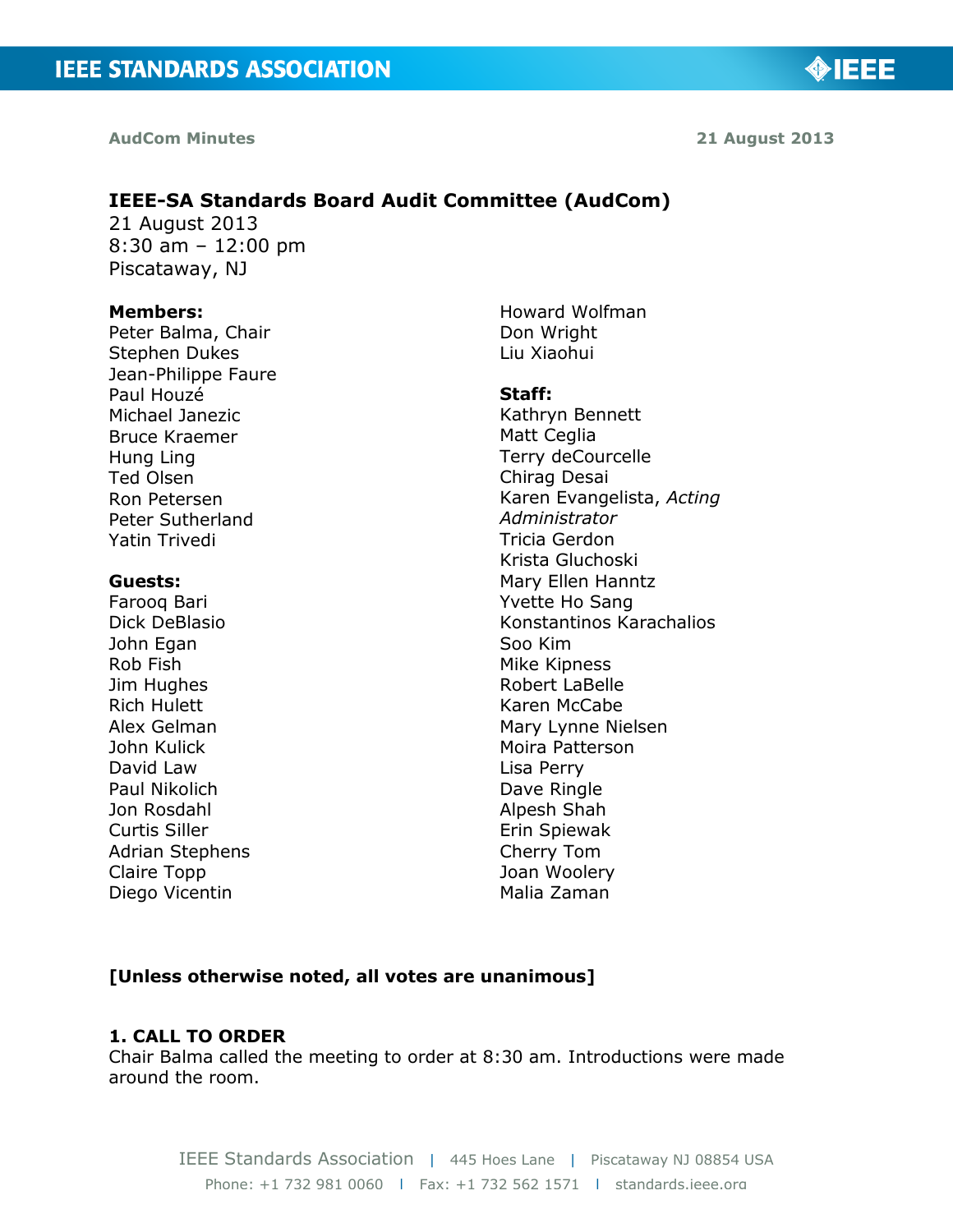◈IEEE

# **IEEE-SA Standards Board Audit Committee (AudCom)**

21 August 2013 8:30 am – 12:00 pm Piscataway, NJ

#### **Members:**

Peter Balma, Chair Stephen Dukes Jean-Philippe Faure Paul Houzé Michael Janezic Bruce Kraemer Hung Ling Ted Olsen Ron Petersen Peter Sutherland Yatin Trivedi

#### **Guests:**

Farooq Bari Dick DeBlasio John Egan Rob Fish Jim Hughes Rich Hulett Alex Gelman John Kulick David Law Paul Nikolich Jon Rosdahl Curtis Siller Adrian Stephens Claire Topp Diego Vicentin

Howard Wolfman Don Wright Liu Xiaohui

#### **Staff:**

Kathryn Bennett Matt Ceglia Terry deCourcelle Chirag Desai Karen Evangelista, *Acting Administrator* Tricia Gerdon Krista Gluchoski Mary Ellen Hanntz Yvette Ho Sang Konstantinos Karachalios Soo Kim Mike Kipness Robert LaBelle Karen McCabe Mary Lynne Nielsen Moira Patterson Lisa Perry Dave Ringle Alpesh Shah Erin Spiewak Cherry Tom Joan Woolery Malia Zaman

### **[Unless otherwise noted, all votes are unanimous]**

### **1. CALL TO ORDER**

Chair Balma called the meeting to order at 8:30 am. Introductions were made around the room.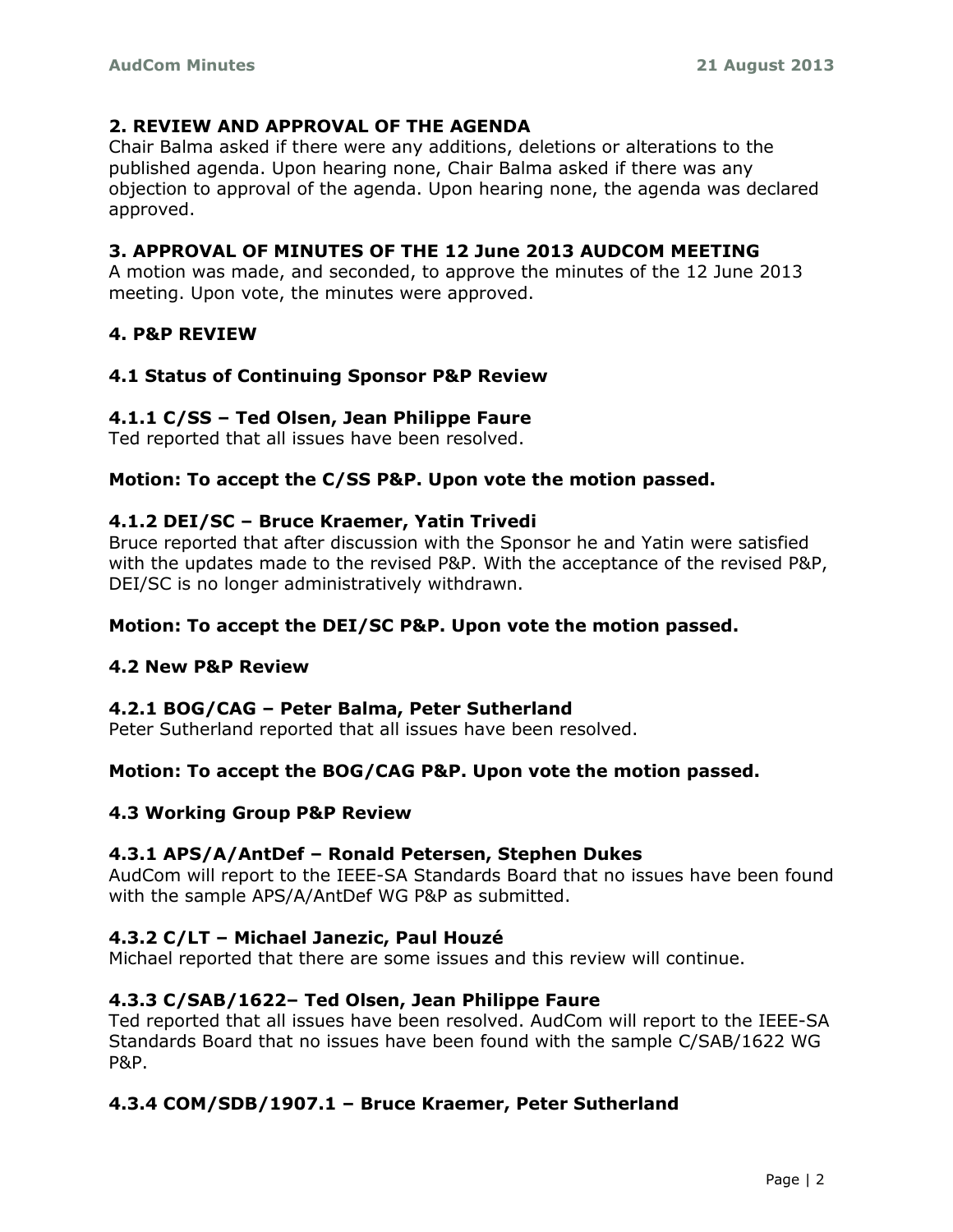## **2. REVIEW AND APPROVAL OF THE AGENDA**

Chair Balma asked if there were any additions, deletions or alterations to the published agenda. Upon hearing none, Chair Balma asked if there was any objection to approval of the agenda. Upon hearing none, the agenda was declared approved.

## **3. APPROVAL OF MINUTES OF THE 12 June 2013 AUDCOM MEETING**

A motion was made, and seconded, to approve the minutes of the 12 June 2013 meeting. Upon vote, the minutes were approved.

## **4. P&P REVIEW**

## **4.1 Status of Continuing Sponsor P&P Review**

### **4.1.1 C/SS – Ted Olsen, Jean Philippe Faure**

Ted reported that all issues have been resolved.

### **Motion: To accept the C/SS P&P. Upon vote the motion passed.**

### **4.1.2 DEI/SC – Bruce Kraemer, Yatin Trivedi**

Bruce reported that after discussion with the Sponsor he and Yatin were satisfied with the updates made to the revised P&P. With the acceptance of the revised P&P, DEI/SC is no longer administratively withdrawn.

### **Motion: To accept the DEI/SC P&P. Upon vote the motion passed.**

### **4.2 New P&P Review**

### **4.2.1 BOG/CAG – Peter Balma, Peter Sutherland**

Peter Sutherland reported that all issues have been resolved.

### **Motion: To accept the BOG/CAG P&P. Upon vote the motion passed.**

### **4.3 Working Group P&P Review**

#### **4.3.1 APS/A/AntDef – Ronald Petersen, Stephen Dukes**

AudCom will report to the IEEE-SA Standards Board that no issues have been found with the sample APS/A/AntDef WG P&P as submitted.

### **4.3.2 C/LT – Michael Janezic, Paul Houzé**

Michael reported that there are some issues and this review will continue.

### **4.3.3 C/SAB/1622– Ted Olsen, Jean Philippe Faure**

Ted reported that all issues have been resolved. AudCom will report to the IEEE-SA Standards Board that no issues have been found with the sample C/SAB/1622 WG P&P.

### **4.3.4 COM/SDB/1907.1 – Bruce Kraemer, Peter Sutherland**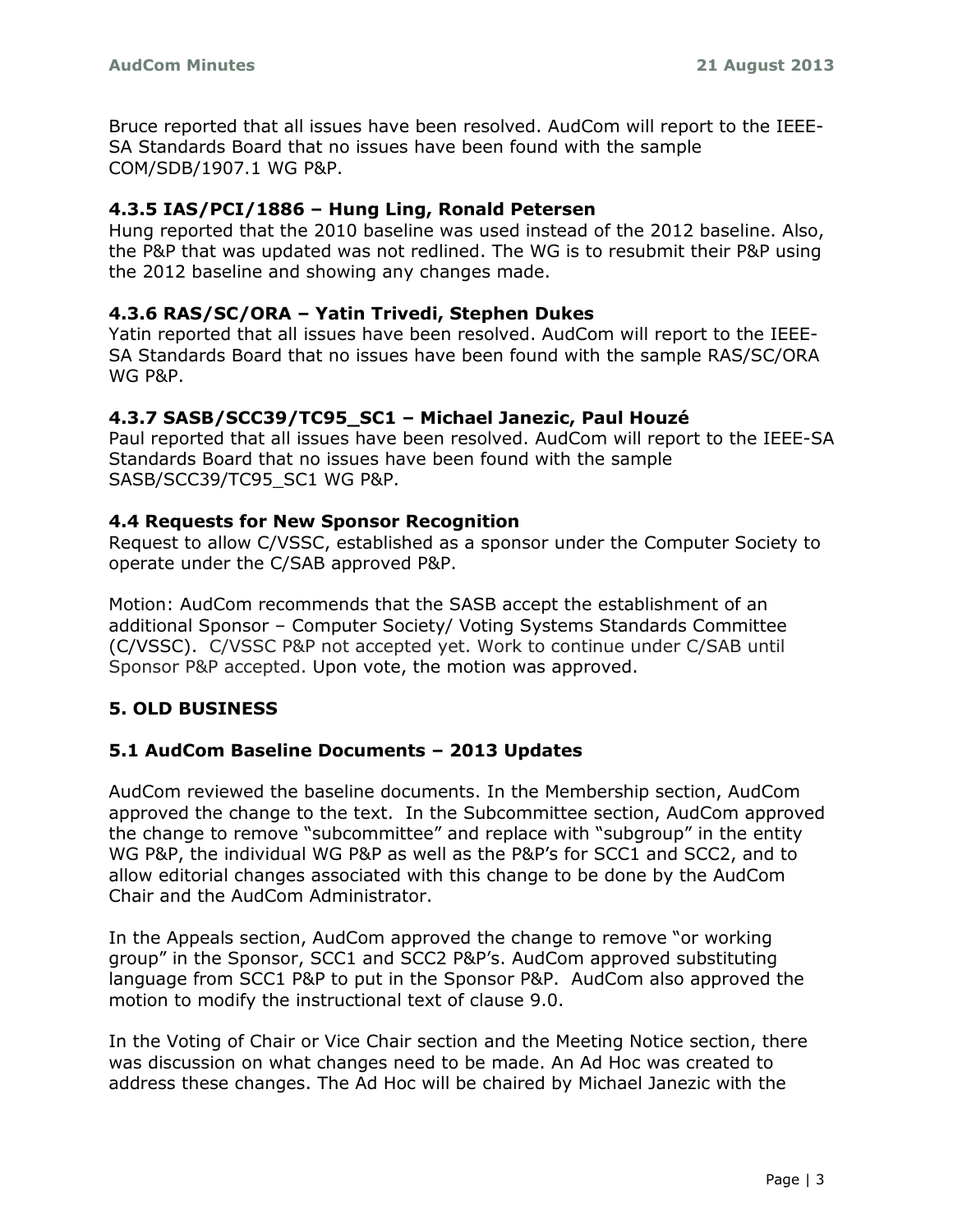Bruce reported that all issues have been resolved. AudCom will report to the IEEE-SA Standards Board that no issues have been found with the sample COM/SDB/1907.1 WG P&P.

# **4.3.5 IAS/PCI/1886 – Hung Ling, Ronald Petersen**

Hung reported that the 2010 baseline was used instead of the 2012 baseline. Also, the P&P that was updated was not redlined. The WG is to resubmit their P&P using the 2012 baseline and showing any changes made.

# **4.3.6 RAS/SC/ORA – Yatin Trivedi, Stephen Dukes**

Yatin reported that all issues have been resolved. AudCom will report to the IEEE-SA Standards Board that no issues have been found with the sample RAS/SC/ORA WG P&P.

# **4.3.7 SASB/SCC39/TC95\_SC1 – Michael Janezic, Paul Houzé**

Paul reported that all issues have been resolved. AudCom will report to the IEEE-SA Standards Board that no issues have been found with the sample SASB/SCC39/TC95\_SC1 WG P&P.

# **4.4 Requests for New Sponsor Recognition**

Request to allow C/VSSC, established as a sponsor under the Computer Society to operate under the C/SAB approved P&P.

Motion: AudCom recommends that the SASB accept the establishment of an additional Sponsor – Computer Society/ Voting Systems Standards Committee (C/VSSC). C/VSSC P&P not accepted yet. Work to continue under C/SAB until Sponsor P&P accepted. Upon vote, the motion was approved.

# **5. OLD BUSINESS**

# **5.1 AudCom Baseline Documents – 2013 Updates**

AudCom reviewed the baseline documents. In the Membership section, AudCom approved the change to the text. In the Subcommittee section, AudCom approved the change to remove "subcommittee" and replace with "subgroup" in the entity WG P&P, the individual WG P&P as well as the P&P's for SCC1 and SCC2, and to allow editorial changes associated with this change to be done by the AudCom Chair and the AudCom Administrator.

In the Appeals section, AudCom approved the change to remove "or working group" in the Sponsor, SCC1 and SCC2 P&P's. AudCom approved substituting language from SCC1 P&P to put in the Sponsor P&P. AudCom also approved the motion to modify the instructional text of clause 9.0.

In the Voting of Chair or Vice Chair section and the Meeting Notice section, there was discussion on what changes need to be made. An Ad Hoc was created to address these changes. The Ad Hoc will be chaired by Michael Janezic with the